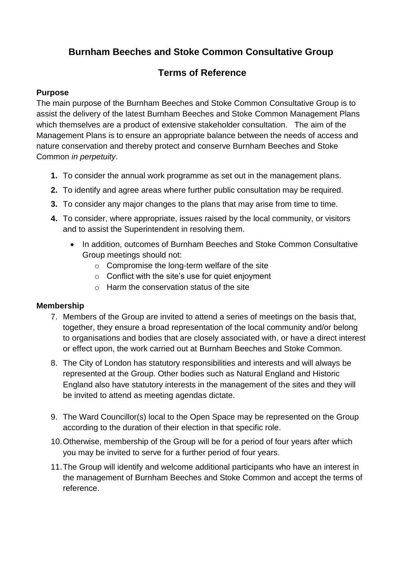# **Burnham Beeches and Stoke Common Consultative Group**

# **Terms of Reference**

### **Purpose**

The main purpose of the Burnham Beeches and Stoke Common Consultative Group is to assist the delivery of the latest Burnham Beeches and Stoke Common Management Plans which themselves are a product of extensive stakeholder consultation. The aim of the Management Plans is to ensure an appropriate balance between the needs of access and nature conservation and thereby protect and conserve Burnham Beeches and Stoke Common *in perpetuity*.

- **1.** To consider the annual work programme as set out in the management plans.
- **2.** To identify and agree areas where further public consultation may be required.
- **3.** To consider any major changes to the plans that may arise from time to time.
- **4.** To consider, where appropriate, issues raised by the local community, or visitors and to assist the Superintendent in resolving them.
	- In addition, outcomes of Burnham Beeches and Stoke Common Consultative Group meetings should not:
		- o Compromise the long-term welfare of the site
		- $\circ$  Conflict with the site's use for quiet enjoyment
		- $\circ$  Harm the conservation status of the site

#### **Membership**

- 7. Members of the Group are invited to attend a series of meetings on the basis that, together, they ensure a broad representation of the local community and/or belong to organisations and bodies that are closely associated with, or have a direct interest or effect upon, the work carried out at Burnham Beeches and Stoke Common.
- 8. The City of London has statutory responsibilities and interests and will always be represented at the Group. Other bodies such as Natural England and Historic England also have statutory interests in the management of the sites and they will be invited to attend as meeting agendas dictate.
- 9. The Ward Councillor(s) local to the Open Space may be represented on the Group according to the duration of their election in that specific role.
- 10.Otherwise, membership of the Group will be for a period of four years after which you may be invited to serve for a further period of four years.
- 11.The Group will identify and welcome additional participants who have an interest in the management of Burnham Beeches and Stoke Common and accept the terms of reference.